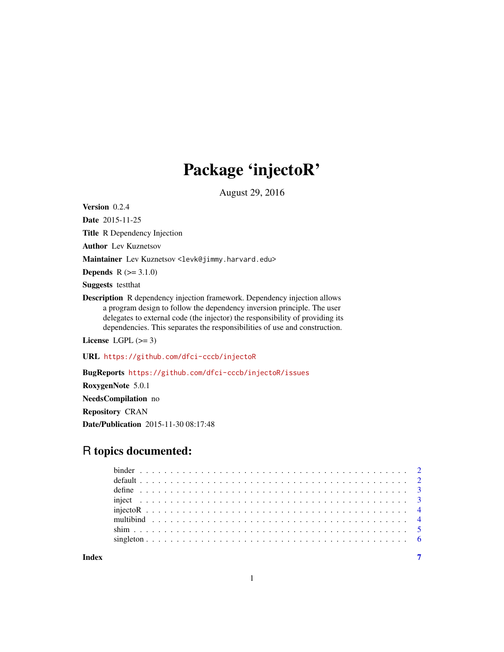# Package 'injectoR'

August 29, 2016

Version 0.2.4

Date 2015-11-25

Title R Dependency Injection

Author Lev Kuznetsov

Maintainer Lev Kuznetsov <levk@jimmy.harvard.edu>

**Depends**  $R (= 3.1.0)$ 

Suggests testthat

Description R dependency injection framework. Dependency injection allows a program design to follow the dependency inversion principle. The user delegates to external code (the injector) the responsibility of providing its dependencies. This separates the responsibilities of use and construction.

License LGPL  $(>= 3)$ 

URL <https://github.com/dfci-cccb/injectoR>

BugReports <https://github.com/dfci-cccb/injectoR/issues>

RoxygenNote 5.0.1 NeedsCompilation no Repository CRAN Date/Publication 2015-11-30 08:17:48

# R topics documented:

**Index** [7](#page-6-0) **7**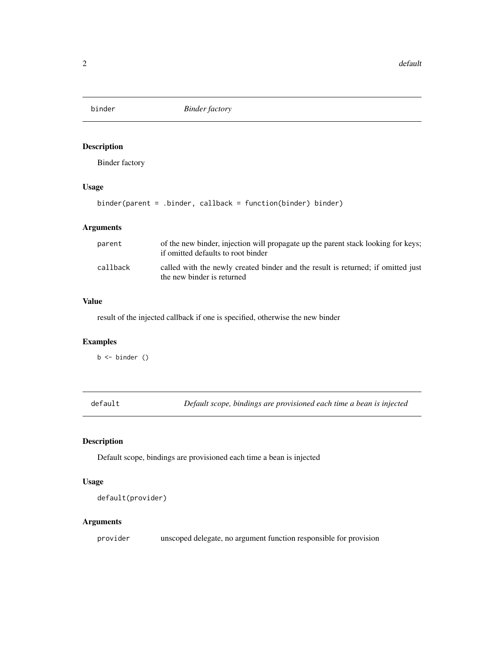<span id="page-1-0"></span>

# Description

Binder factory

# Usage

binder(parent = .binder, callback = function(binder) binder)

#### Arguments

| parent   | of the new binder, injection will propagate up the parent stack looking for keys;<br>if omitted defaults to root binder |  |  |  |  |  |
|----------|-------------------------------------------------------------------------------------------------------------------------|--|--|--|--|--|
| callback | called with the newly created binder and the result is returned; if omitted just<br>the new binder is returned          |  |  |  |  |  |

# Value

result of the injected callback if one is specified, otherwise the new binder

#### Examples

b <- binder ()

default *Default scope, bindings are provisioned each time a bean is injected*

# Description

Default scope, bindings are provisioned each time a bean is injected

#### Usage

```
default(provider)
```
# Arguments

provider unscoped delegate, no argument function responsible for provision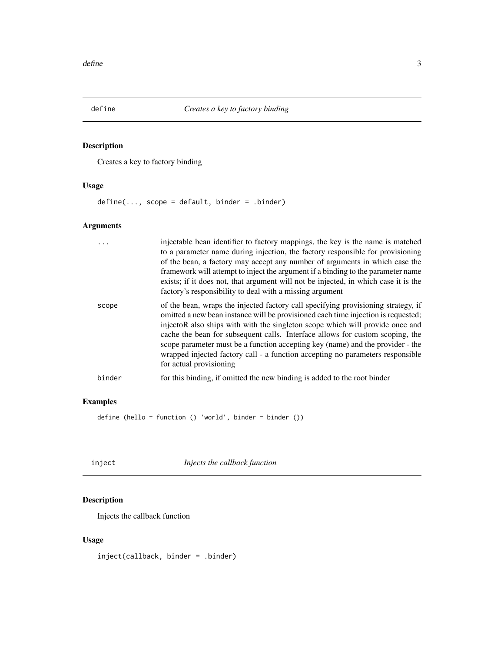<span id="page-2-0"></span>

# Description

Creates a key to factory binding

# Usage

define(..., scope = default, binder = .binder)

# Arguments

|        | injectable bean identifier to factory mappings, the key is the name is matched<br>to a parameter name during injection, the factory responsible for provisioning<br>of the bean, a factory may accept any number of arguments in which case the<br>framework will attempt to inject the argument if a binding to the parameter name<br>exists; if it does not, that argument will not be injected, in which case it is the<br>factory's responsibility to deal with a missing argument                                                  |
|--------|-----------------------------------------------------------------------------------------------------------------------------------------------------------------------------------------------------------------------------------------------------------------------------------------------------------------------------------------------------------------------------------------------------------------------------------------------------------------------------------------------------------------------------------------|
| scope  | of the bean, wraps the injected factory call specifying provisioning strategy, if<br>omitted a new bean instance will be provisioned each time injection is requested;<br>injectoR also ships with with the singleton scope which will provide once and<br>cache the bean for subsequent calls. Interface allows for custom scoping, the<br>scope parameter must be a function accepting key (name) and the provider - the<br>wrapped injected factory call - a function accepting no parameters responsible<br>for actual provisioning |
| binder | for this binding, if omitted the new binding is added to the root binder                                                                                                                                                                                                                                                                                                                                                                                                                                                                |

# Examples

define (hello = function () 'world', binder = binder ())

inject *Injects the callback function*

# Description

Injects the callback function

# Usage

inject(callback, binder = .binder)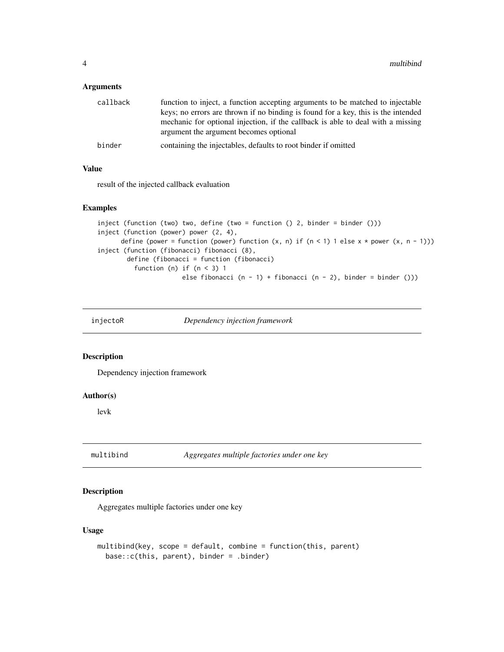#### <span id="page-3-0"></span>Arguments

| callback | function to inject, a function accepting arguments to be matched to injectable                                                                                       |
|----------|----------------------------------------------------------------------------------------------------------------------------------------------------------------------|
|          | keys; no errors are thrown if no binding is found for a key, this is the intended<br>mechanic for optional injection, if the callback is able to deal with a missing |
|          | argument the argument becomes optional                                                                                                                               |
| binder   | containing the injectables, defaults to root binder if omitted                                                                                                       |

#### Value

result of the injected callback evaluation

# Examples

```
inject (function (two) two, define (two = function () 2, binder = binder ()))
inject (function (power) power (2, 4),
      define (power = function (power) function (x, n) if (n < 1) 1 else x * power (x, n - 1)))
inject (function (fibonacci) fibonacci (8),
       define (fibonacci = function (fibonacci)
          function (n) if (n < 3) 1
                       else fibonacci (n - 1) + fibonacci (n - 2), binder = binder ()))
```
injectoR *Dependency injection framework*

#### Description

Dependency injection framework

#### Author(s)

levk

multibind *Aggregates multiple factories under one key*

# Description

Aggregates multiple factories under one key

#### Usage

```
multibind(key, scope = default, combine = function(this, parent)
 base::c(this, parent), binder = .binder)
```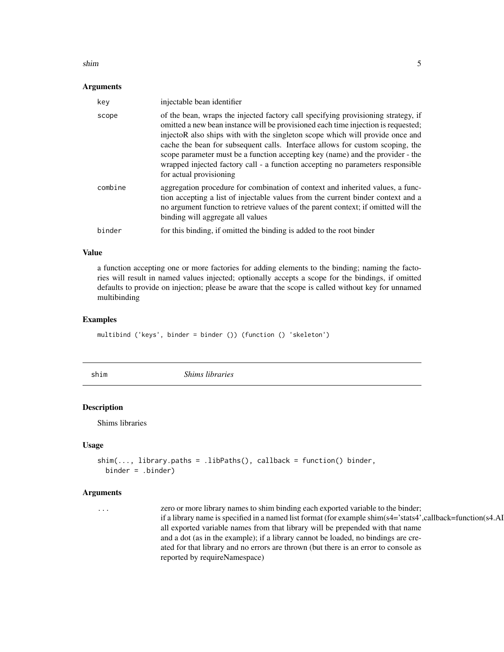#### <span id="page-4-0"></span>shim 5

#### **Arguments**

| key     | injectable bean identifier                                                                                                                                                                                                                                                                                                                                                                                                                                                                                                              |
|---------|-----------------------------------------------------------------------------------------------------------------------------------------------------------------------------------------------------------------------------------------------------------------------------------------------------------------------------------------------------------------------------------------------------------------------------------------------------------------------------------------------------------------------------------------|
| scope   | of the bean, wraps the injected factory call specifying provisioning strategy, if<br>omitted a new bean instance will be provisioned each time injection is requested;<br>injectoR also ships with with the singleton scope which will provide once and<br>cache the bean for subsequent calls. Interface allows for custom scoping, the<br>scope parameter must be a function accepting key (name) and the provider - the<br>wrapped injected factory call - a function accepting no parameters responsible<br>for actual provisioning |
| combine | aggregation procedure for combination of context and inherited values, a func-<br>tion accepting a list of injectable values from the current binder context and a<br>no argument function to retrieve values of the parent context; if omitted will the<br>binding will aggregate all values                                                                                                                                                                                                                                           |
| binder  | for this binding, if omitted the binding is added to the root binder                                                                                                                                                                                                                                                                                                                                                                                                                                                                    |

#### Value

a function accepting one or more factories for adding elements to the binding; naming the factories will result in named values injected; optionally accepts a scope for the bindings, if omitted defaults to provide on injection; please be aware that the scope is called without key for unnamed multibinding

#### Examples

multibind ('keys', binder = binder ()) (function () 'skeleton')

shim *Shims libraries*

# Description

Shims libraries

#### Usage

```
shim(..., library.paths = .libPaths(), callback = function() binder,
 binder = .binder)
```
#### Arguments

... zero or more library names to shim binding each exported variable to the binder; if a library name is specified in a named list format (for example shim( $s4='stats4'$ , callback=function( $s4.A1$ ) all exported variable names from that library will be prepended with that name and a dot (as in the example); if a library cannot be loaded, no bindings are created for that library and no errors are thrown (but there is an error to console as reported by requireNamespace)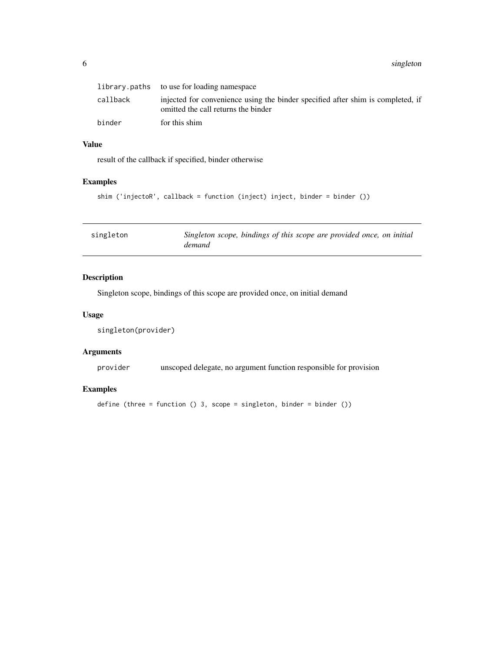#### <span id="page-5-0"></span>6 singleton and the state of the state of the state of the state of the state of the state of the state of the state of the state of the state of the state of the state of the state of the state of the state of the state o

|          | library.paths to use for loading namespace                                                                             |
|----------|------------------------------------------------------------------------------------------------------------------------|
| callback | injected for convenience using the binder specified after shim is completed, if<br>omitted the call returns the binder |
| binder   | for this shim                                                                                                          |

## Value

result of the callback if specified, binder otherwise

# Examples

```
shim ('injectoR', callback = function (inject) inject, binder = binder ())
```

| demand |  | singleton | Singleton scope, bindings of this scope are provided once, on initial |  |  |  |  |  |  |  |  |  |
|--------|--|-----------|-----------------------------------------------------------------------|--|--|--|--|--|--|--|--|--|
|--------|--|-----------|-----------------------------------------------------------------------|--|--|--|--|--|--|--|--|--|

# Description

Singleton scope, bindings of this scope are provided once, on initial demand

## Usage

```
singleton(provider)
```
#### Arguments

provider unscoped delegate, no argument function responsible for provision

# Examples

```
define (three = function () 3, scope = singleton, binder = binder ())
```